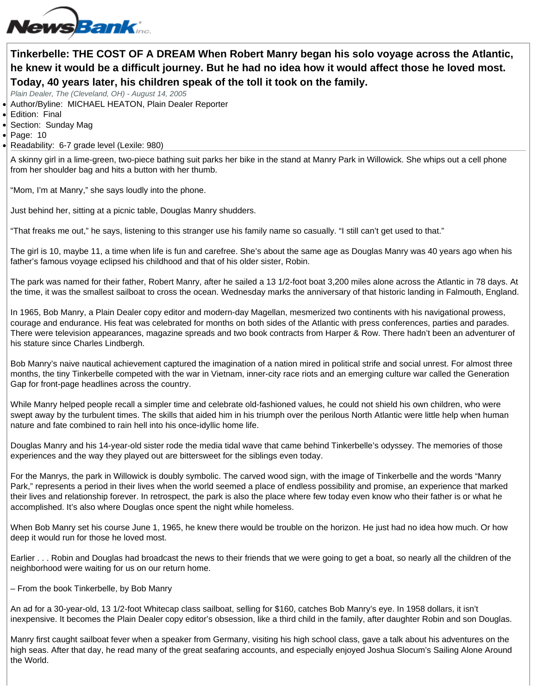Tinkerbelle: THE COST OF A DREAM When Robert Manry began his solo voyage across the Atlantic, he knew it would be a difficult journey. But he had no idea how it would affect those he loved most.

Today, 40 years later, his children speak of the toll it took on the family.

Plain Dealer, The (Cleveland, OH) - August 14, 2005

Author/Byline: MICHAEL HEATON, Plain Dealer Reporter

Edition: Final Section: Sunday Mag

Page: 10

Readability: 6-7 grade level (Lexile: 980)

A skinny girl in a lime-green, two-piece bathing suit parks her bike in the stand at Manry Park in Willowick. She whips out a cell phone from her shoulder bag and hits a button with her thumb.

"Mom, I'm at Manry," she says loudly into the phone.

Just behind her, sitting at a picnic table, Douglas Manry shudders.

"That freaks me out," he says, listening to this stranger use his family name so casually. "I still can't get used to that."

The girl is 10, maybe 11, a time when life is fun and carefree. She's about the same age as Douglas Manry was 40 years ago when his father's famous voyage eclipsed his childhood and that of his older sister, Robin.

The park was named for their father, Robert Manry, after he sailed a 13 1/2-foot boat 3,200 miles alone across the Atlantic in 78 days. At the time, it was the smallest sailboat to cross the ocean. Wednesday marks the anniversary of that historic landing in Falmouth, England.

In 1965, Bob Manry, a Plain Dealer copy editor and modern-day Magellan, mesmerized two continents with his navigational prowess, courage and endurance. His feat was celebrated for months on both sides of the Atlantic with press conferences, parties and parades. There were television appearances, magazine spreads and two book contracts from Harper & Row. There hadn't been an adventurer of his stature since Charles Lindbergh.

Bob Manry's naive nautical achievement captured the imagination of a nation mired in political strife and social unrest. For almost three months, the tiny Tinkerbelle competed with the war in Vietnam, inner-city race riots and an emerging culture war called the Generation Gap for front-page headlines across the country.

While Manry helped people recall a simpler time and celebrate old-fashioned values, he could not shield his own children, who were swept away by the turbulent times. The skills that aided him in his triumph over the perilous North Atlantic were little help when human nature and fate combined to rain hell into his once-idyllic home life.

Douglas Manry and his 14-year-old sister rode the media tidal wave that came behind Tinkerbelle's odyssey. The memories of those experiences and the way they played out are bittersweet for the siblings even today.

For the Manrys, the park in Willowick is doubly symbolic. The carved wood sign, with the image of Tinkerbelle and the words "Manry Park," represents a period in their lives when the world seemed a place of endless possibility and promise, an experience that marked their lives and relationship forever. In retrospect, the park is also the place where few today even know who their father is or what he accomplished. It's also where Douglas once spent the night while homeless.

When Bob Manry set his course June 1, 1965, he knew there would be trouble on the horizon. He just had no idea how much. Or how deep it would run for those he loved most.

Earlier . . . Robin and Douglas had broadcast the news to their friends that we were going to get a boat, so nearly all the children of the neighborhood were waiting for us on our return home.

– From the book Tinkerbelle, by Bob Manry

An ad for a 30-year-old, 13 1/2-foot Whitecap class sailboat, selling for \$160, catches Bob Manry's eye. In 1958 dollars, it isn't inexpensive. It becomes the Plain Dealer copy editor's obsession, like a third child in the family, after daughter Robin and son Douglas.

Manry first caught sailboat fever when a speaker from Germany, visiting his high school class, gave a talk about his adventures on the high seas. After that day, he read many of the great seafaring accounts, and especially enjoyed Joshua Slocum's Sailing Alone Around the World.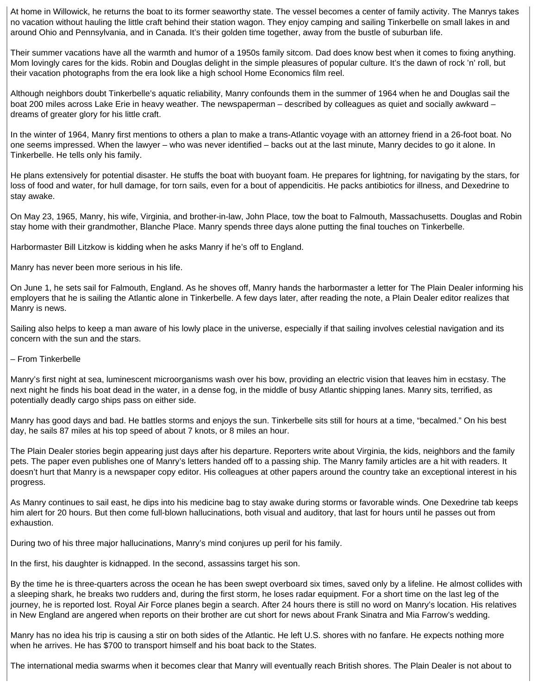At home in Willowick, he returns the boat to its former seaworthy state. The vessel becomes a center of family activity. The Manrys takes no vacation without hauling the little craft behind their station wagon. They enjoy camping and sailing Tinkerbelle on small lakes in and around Ohio and Pennsylvania, and in Canada. It's their golden time together, away from the bustle of suburban life.

Their summer vacations have all the warmth and humor of a 1950s family sitcom. Dad does know best when it comes to fixing anything. Mom lovingly cares for the kids. Robin and Douglas delight in the simple pleasures of popular culture. It's the dawn of rock 'n' roll, but their vacation photographs from the era look like a high school Home Economics film reel.

Although neighbors doubt Tinkerbelle's aquatic reliability, Manry confounds them in the summer of 1964 when he and Douglas sail the boat 200 miles across Lake Erie in heavy weather. The newspaperman – described by colleagues as quiet and socially awkward – dreams of greater glory for his little craft.

In the winter of 1964, Manry first mentions to others a plan to make a trans-Atlantic voyage with an attorney friend in a 26-foot boat. No one seems impressed. When the lawyer – who was never identified – backs out at the last minute, Manry decides to go it alone. In Tinkerbelle. He tells only his family.

He plans extensively for potential disaster. He stuffs the boat with buoyant foam. He prepares for lightning, for navigating by the stars, for loss of food and water, for hull damage, for torn sails, even for a bout of appendicitis. He packs antibiotics for illness, and Dexedrine to stay awake.

On May 23, 1965, Manry, his wife, Virginia, and brother-in-law, John Place, tow the boat to Falmouth, Massachusetts. Douglas and Robin stay home with their grandmother, Blanche Place. Manry spends three days alone putting the final touches on Tinkerbelle.

Harbormaster Bill Litzkow is kidding when he asks Manry if he's off to England.

Manry has never been more serious in his life.

On June 1, he sets sail for Falmouth, England. As he shoves off, Manry hands the harbormaster a letter for The Plain Dealer informing his employers that he is sailing the Atlantic alone in Tinkerbelle. A few days later, after reading the note, a Plain Dealer editor realizes that Manry is news.

Sailing also helps to keep a man aware of his lowly place in the universe, especially if that sailing involves celestial navigation and its concern with the sun and the stars.

## – From Tinkerbelle

Manry's first night at sea, luminescent microorganisms wash over his bow, providing an electric vision that leaves him in ecstasy. The next night he finds his boat dead in the water, in a dense fog, in the middle of busy Atlantic shipping lanes. Manry sits, terrified, as potentially deadly cargo ships pass on either side.

Manry has good days and bad. He battles storms and enjoys the sun. Tinkerbelle sits still for hours at a time, "becalmed." On his best day, he sails 87 miles at his top speed of about 7 knots, or 8 miles an hour.

The Plain Dealer stories begin appearing just days after his departure. Reporters write about Virginia, the kids, neighbors and the family pets. The paper even publishes one of Manry's letters handed off to a passing ship. The Manry family articles are a hit with readers. It doesn't hurt that Manry is a newspaper copy editor. His colleagues at other papers around the country take an exceptional interest in his progress.

As Manry continues to sail east, he dips into his medicine bag to stay awake during storms or favorable winds. One Dexedrine tab keeps him alert for 20 hours. But then come full-blown hallucinations, both visual and auditory, that last for hours until he passes out from exhaustion.

During two of his three major hallucinations, Manry's mind conjures up peril for his family.

In the first, his daughter is kidnapped. In the second, assassins target his son.

By the time he is three-quarters across the ocean he has been swept overboard six times, saved only by a lifeline. He almost collides with a sleeping shark, he breaks two rudders and, during the first storm, he loses radar equipment. For a short time on the last leg of the journey, he is reported lost. Royal Air Force planes begin a search. After 24 hours there is still no word on Manry's location. His relatives in New England are angered when reports on their brother are cut short for news about Frank Sinatra and Mia Farrow's wedding.

Manry has no idea his trip is causing a stir on both sides of the Atlantic. He left U.S. shores with no fanfare. He expects nothing more when he arrives. He has \$700 to transport himself and his boat back to the States.

The international media swarms when it becomes clear that Manry will eventually reach British shores. The Plain Dealer is not about to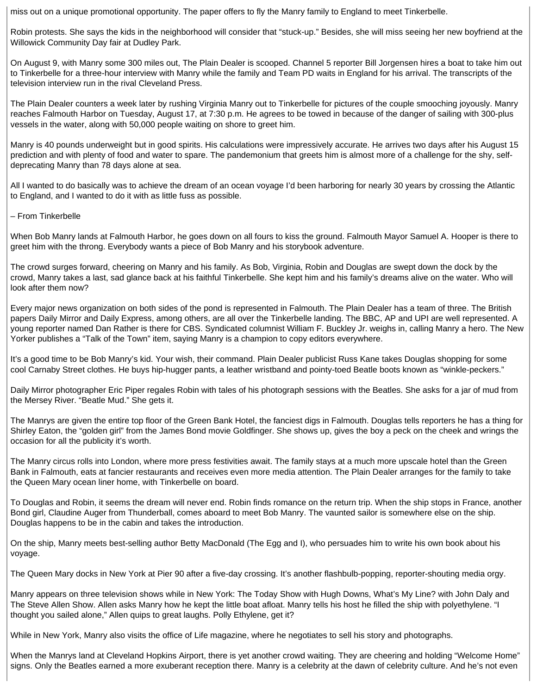miss out on a unique promotional opportunity. The paper offers to fly the Manry family to England to meet Tinkerbelle.

Robin protests. She says the kids in the neighborhood will consider that "stuck-up." Besides, she will miss seeing her new boyfriend at the Willowick Community Day fair at Dudley Park.

On August 9, with Manry some 300 miles out, The Plain Dealer is scooped. Channel 5 reporter Bill Jorgensen hires a boat to take him out to Tinkerbelle for a three-hour interview with Manry while the family and Team PD waits in England for his arrival. The transcripts of the television interview run in the rival Cleveland Press.

The Plain Dealer counters a week later by rushing Virginia Manry out to Tinkerbelle for pictures of the couple smooching joyously. Manry reaches Falmouth Harbor on Tuesday, August 17, at 7:30 p.m. He agrees to be towed in because of the danger of sailing with 300-plus vessels in the water, along with 50,000 people waiting on shore to greet him.

Manry is 40 pounds underweight but in good spirits. His calculations were impressively accurate. He arrives two days after his August 15 prediction and with plenty of food and water to spare. The pandemonium that greets him is almost more of a challenge for the shy, selfdeprecating Manry than 78 days alone at sea.

All I wanted to do basically was to achieve the dream of an ocean voyage I'd been harboring for nearly 30 years by crossing the Atlantic to England, and I wanted to do it with as little fuss as possible.

## – From Tinkerbelle

When Bob Manry lands at Falmouth Harbor, he goes down on all fours to kiss the ground. Falmouth Mayor Samuel A. Hooper is there to greet him with the throng. Everybody wants a piece of Bob Manry and his storybook adventure.

The crowd surges forward, cheering on Manry and his family. As Bob, Virginia, Robin and Douglas are swept down the dock by the crowd, Manry takes a last, sad glance back at his faithful Tinkerbelle. She kept him and his family's dreams alive on the water. Who will look after them now?

Every major news organization on both sides of the pond is represented in Falmouth. The Plain Dealer has a team of three. The British papers Daily Mirror and Daily Express, among others, are all over the Tinkerbelle landing. The BBC, AP and UPI are well represented. A young reporter named Dan Rather is there for CBS. Syndicated columnist William F. Buckley Jr. weighs in, calling Manry a hero. The New Yorker publishes a "Talk of the Town" item, saying Manry is a champion to copy editors everywhere.

It's a good time to be Bob Manry's kid. Your wish, their command. Plain Dealer publicist Russ Kane takes Douglas shopping for some cool Carnaby Street clothes. He buys hip-hugger pants, a leather wristband and pointy-toed Beatle boots known as "winkle-peckers."

Daily Mirror photographer Eric Piper regales Robin with tales of his photograph sessions with the Beatles. She asks for a jar of mud from the Mersey River. "Beatle Mud." She gets it.

The Manrys are given the entire top floor of the Green Bank Hotel, the fanciest digs in Falmouth. Douglas tells reporters he has a thing for Shirley Eaton, the "golden girl" from the James Bond movie Goldfinger. She shows up, gives the boy a peck on the cheek and wrings the occasion for all the publicity it's worth.

The Manry circus rolls into London, where more press festivities await. The family stays at a much more upscale hotel than the Green Bank in Falmouth, eats at fancier restaurants and receives even more media attention. The Plain Dealer arranges for the family to take the Queen Mary ocean liner home, with Tinkerbelle on board.

To Douglas and Robin, it seems the dream will never end. Robin finds romance on the return trip. When the ship stops in France, another Bond girl, Claudine Auger from Thunderball, comes aboard to meet Bob Manry. The vaunted sailor is somewhere else on the ship. Douglas happens to be in the cabin and takes the introduction.

On the ship, Manry meets best-selling author Betty MacDonald (The Egg and I), who persuades him to write his own book about his voyage.

The Queen Mary docks in New York at Pier 90 after a five-day crossing. It's another flashbulb-popping, reporter-shouting media orgy.

Manry appears on three television shows while in New York: The Today Show with Hugh Downs, What's My Line? with John Daly and The Steve Allen Show. Allen asks Manry how he kept the little boat afloat. Manry tells his host he filled the ship with polyethylene. "I thought you sailed alone," Allen quips to great laughs. Polly Ethylene, get it?

While in New York, Manry also visits the office of Life magazine, where he negotiates to sell his story and photographs.

When the Manrys land at Cleveland Hopkins Airport, there is yet another crowd waiting. They are cheering and holding "Welcome Home" signs. Only the Beatles earned a more exuberant reception there. Manry is a celebrity at the dawn of celebrity culture. And he's not even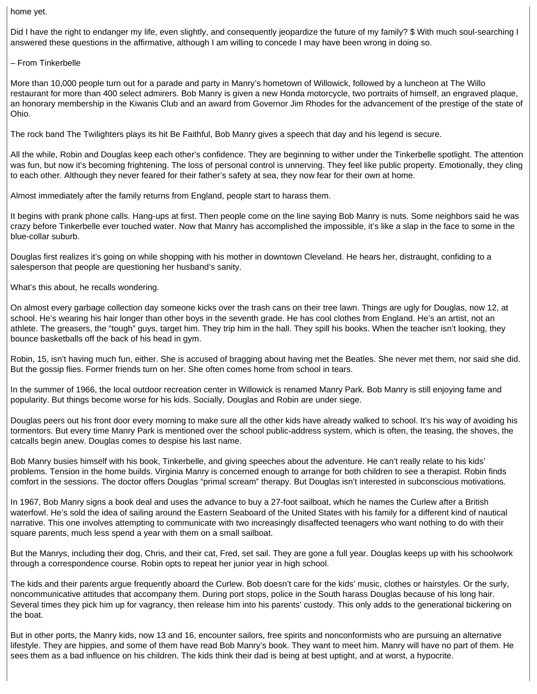home yet.

Did I have the right to endanger my life, even slightly, and consequently jeopardize the future of my family? \$ With much soul-searching I answered these questions in the affirmative, although I am willing to concede I may have been wrong in doing so.

## – From Tinkerbelle

More than 10,000 people turn out for a parade and party in Manry's hometown of Willowick, followed by a luncheon at The Willo restaurant for more than 400 select admirers. Bob Manry is given a new Honda motorcycle, two portraits of himself, an engraved plaque, an honorary membership in the Kiwanis Club and an award from Governor Jim Rhodes for the advancement of the prestige of the state of Ohio.

The rock band The Twilighters plays its hit Be Faithful, Bob Manry gives a speech that day and his legend is secure.

All the while, Robin and Douglas keep each other's confidence. They are beginning to wither under the Tinkerbelle spotlight. The attention was fun, but now it's becoming frightening. The loss of personal control is unnerving. They feel like public property. Emotionally, they cling to each other. Although they never feared for their father's safety at sea, they now fear for their own at home.

Almost immediately after the family returns from England, people start to harass them.

It begins with prank phone calls. Hang-ups at first. Then people come on the line saying Bob Manry is nuts. Some neighbors said he was crazy before Tinkerbelle ever touched water. Now that Manry has accomplished the impossible, it's like a slap in the face to some in the blue-collar suburb.

Douglas first realizes it's going on while shopping with his mother in downtown Cleveland. He hears her, distraught, confiding to a salesperson that people are questioning her husband's sanity.

What's this about, he recalls wondering.

On almost every garbage collection day someone kicks over the trash cans on their tree lawn. Things are ugly for Douglas, now 12, at school. He's wearing his hair longer than other boys in the seventh grade. He has cool clothes from England. He's an artist, not an athlete. The greasers, the "tough" guys, target him. They trip him in the hall. They spill his books. When the teacher isn't looking, they bounce basketballs off the back of his head in gym.

Robin, 15, isn't having much fun, either. She is accused of bragging about having met the Beatles. She never met them, nor said she did. But the gossip flies. Former friends turn on her. She often comes home from school in tears.

In the summer of 1966, the local outdoor recreation center in Willowick is renamed Manry Park. Bob Manry is still enjoying fame and popularity. But things become worse for his kids. Socially, Douglas and Robin are under siege.

Douglas peers out his front door every morning to make sure all the other kids have already walked to school. It's his way of avoiding his tormentors. But every time Manry Park is mentioned over the school public-address system, which is often, the teasing, the shoves, the catcalls begin anew. Douglas comes to despise his last name.

Bob Manry busies himself with his book, Tinkerbelle, and giving speeches about the adventure. He can't really relate to his kids' problems. Tension in the home builds. Virginia Manry is concerned enough to arrange for both children to see a therapist. Robin finds comfort in the sessions. The doctor offers Douglas "primal scream" therapy. But Douglas isn't interested in subconscious motivations.

In 1967, Bob Manry signs a book deal and uses the advance to buy a 27-foot sailboat, which he names the Curlew after a British waterfowl. He's sold the idea of sailing around the Eastern Seaboard of the United States with his family for a different kind of nautical narrative. This one involves attempting to communicate with two increasingly disaffected teenagers who want nothing to do with their square parents, much less spend a year with them on a small sailboat.

But the Manrys, including their dog, Chris, and their cat, Fred, set sail. They are gone a full year. Douglas keeps up with his schoolwork through a correspondence course. Robin opts to repeat her junior year in high school.

The kids and their parents argue frequently aboard the Curlew. Bob doesn't care for the kids' music, clothes or hairstyles. Or the surly, noncommunicative attitudes that accompany them. During port stops, police in the South harass Douglas because of his long hair. Several times they pick him up for vagrancy, then release him into his parents' custody. This only adds to the generational bickering on the boat.

But in other ports, the Manry kids, now 13 and 16, encounter sailors, free spirits and nonconformists who are pursuing an alternative lifestyle. They are hippies, and some of them have read Bob Manry's book. They want to meet him. Manry will have no part of them. He sees them as a bad influence on his children. The kids think their dad is being at best uptight, and at worst, a hypocrite.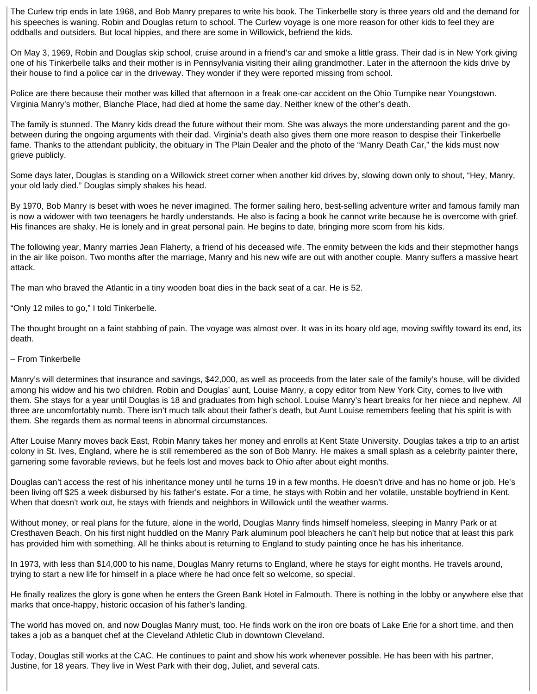The Curlew trip ends in late 1968, and Bob Manry prepares to write his book. The Tinkerbelle story is three years old and the demand for his speeches is waning. Robin and Douglas return to school. The Curlew voyage is one more reason for other kids to feel they are oddballs and outsiders. But local hippies, and there are some in Willowick, befriend the kids.

On May 3, 1969, Robin and Douglas skip school, cruise around in a friend's car and smoke a little grass. Their dad is in New York giving one of his Tinkerbelle talks and their mother is in Pennsylvania visiting their ailing grandmother. Later in the afternoon the kids drive by their house to find a police car in the driveway. They wonder if they were reported missing from school.

Police are there because their mother was killed that afternoon in a freak one-car accident on the Ohio Turnpike near Youngstown. Virginia Manry's mother, Blanche Place, had died at home the same day. Neither knew of the other's death.

The family is stunned. The Manry kids dread the future without their mom. She was always the more understanding parent and the gobetween during the ongoing arguments with their dad. Virginia's death also gives them one more reason to despise their Tinkerbelle fame. Thanks to the attendant publicity, the obituary in The Plain Dealer and the photo of the "Manry Death Car," the kids must now grieve publicly.

Some days later, Douglas is standing on a Willowick street corner when another kid drives by, slowing down only to shout, "Hey, Manry, your old lady died." Douglas simply shakes his head.

By 1970, Bob Manry is beset with woes he never imagined. The former sailing hero, best-selling adventure writer and famous family man is now a widower with two teenagers he hardly understands. He also is facing a book he cannot write because he is overcome with grief. His finances are shaky. He is lonely and in great personal pain. He begins to date, bringing more scorn from his kids.

The following year, Manry marries Jean Flaherty, a friend of his deceased wife. The enmity between the kids and their stepmother hangs in the air like poison. Two months after the marriage, Manry and his new wife are out with another couple. Manry suffers a massive heart attack.

The man who braved the Atlantic in a tiny wooden boat dies in the back seat of a car. He is 52.

"Only 12 miles to go," I told Tinkerbelle.

The thought brought on a faint stabbing of pain. The voyage was almost over. It was in its hoary old age, moving swiftly toward its end, its death.

## – From Tinkerbelle

Manry's will determines that insurance and savings, \$42,000, as well as proceeds from the later sale of the family's house, will be divided among his widow and his two children. Robin and Douglas' aunt, Louise Manry, a copy editor from New York City, comes to live with them. She stays for a year until Douglas is 18 and graduates from high school. Louise Manry's heart breaks for her niece and nephew. All three are uncomfortably numb. There isn't much talk about their father's death, but Aunt Louise remembers feeling that his spirit is with them. She regards them as normal teens in abnormal circumstances.

After Louise Manry moves back East, Robin Manry takes her money and enrolls at Kent State University. Douglas takes a trip to an artist colony in St. Ives, England, where he is still remembered as the son of Bob Manry. He makes a small splash as a celebrity painter there, garnering some favorable reviews, but he feels lost and moves back to Ohio after about eight months.

Douglas can't access the rest of his inheritance money until he turns 19 in a few months. He doesn't drive and has no home or job. He's been living off \$25 a week disbursed by his father's estate. For a time, he stays with Robin and her volatile, unstable boyfriend in Kent. When that doesn't work out, he stays with friends and neighbors in Willowick until the weather warms.

Without money, or real plans for the future, alone in the world, Douglas Manry finds himself homeless, sleeping in Manry Park or at Cresthaven Beach. On his first night huddled on the Manry Park aluminum pool bleachers he can't help but notice that at least this park has provided him with something. All he thinks about is returning to England to study painting once he has his inheritance.

In 1973, with less than \$14,000 to his name, Douglas Manry returns to England, where he stays for eight months. He travels around, trying to start a new life for himself in a place where he had once felt so welcome, so special.

He finally realizes the glory is gone when he enters the Green Bank Hotel in Falmouth. There is nothing in the lobby or anywhere else that marks that once-happy, historic occasion of his father's landing.

The world has moved on, and now Douglas Manry must, too. He finds work on the iron ore boats of Lake Erie for a short time, and then takes a job as a banquet chef at the Cleveland Athletic Club in downtown Cleveland.

Today, Douglas still works at the CAC. He continues to paint and show his work whenever possible. He has been with his partner, Justine, for 18 years. They live in West Park with their dog, Juliet, and several cats.